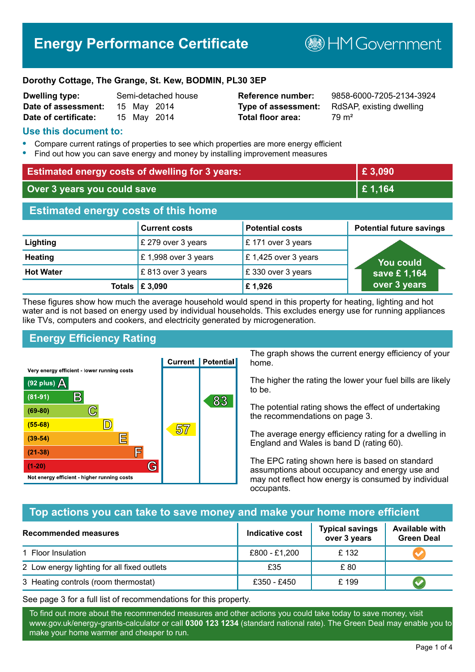# **Energy Performance Certificate**

**B**HM Government

#### **Dorothy Cottage, The Grange, St. Kew, BODMIN, PL30 3EP**

| <b>Dwelling type:</b> | Semi-detached hous |  |             |
|-----------------------|--------------------|--|-------------|
| Date of assessment:   |                    |  | 15 May 2014 |
| Date of certificate:  |                    |  | 15 May 2014 |

# **Total floor area:** 79 m<sup>2</sup>

**Dwelling type:** Semi-detached house **Reference number:** 9858-6000-7205-2134-3924 **Type of assessment:** RdSAP, existing dwelling

#### **Use this document to:**

- **•** Compare current ratings of properties to see which properties are more energy efficient
- **•** Find out how you can save energy and money by installing improvement measures

| <b>Estimated energy costs of dwelling for 3 years:</b> |                      |                        | £3,090                          |
|--------------------------------------------------------|----------------------|------------------------|---------------------------------|
| Over 3 years you could save                            |                      | £1,164                 |                                 |
| <b>Estimated energy costs of this home</b>             |                      |                        |                                 |
|                                                        | <b>Current costs</b> | <b>Potential costs</b> | <b>Potential future savings</b> |
| Lighting                                               | £ 279 over 3 years   | £171 over 3 years      |                                 |
| <b>Heating</b>                                         | £1,998 over 3 years  | £1,425 over 3 years    | <u>You could</u>                |
| <b>Hot Water</b>                                       | £813 over 3 years    | £330 over 3 years      | save £1,164                     |
| Totals                                                 | £3,090               | £1,926                 | over 3 years                    |

These figures show how much the average household would spend in this property for heating, lighting and hot water and is not based on energy used by individual households. This excludes energy use for running appliances like TVs, computers and cookers, and electricity generated by microgeneration.

# **Energy Efficiency Rating**



The graph shows the current energy efficiency of your home.

The higher the rating the lower your fuel bills are likely to be.

The potential rating shows the effect of undertaking the recommendations on page 3.

The average energy efficiency rating for a dwelling in England and Wales is band D (rating 60).

The EPC rating shown here is based on standard assumptions about occupancy and energy use and may not reflect how energy is consumed by individual occupants.

# **Top actions you can take to save money and make your home more efficient**

| <b>Recommended measures</b>                 | <b>Indicative cost</b> | <b>Typical savings</b><br>over 3 years | <b>Available with</b><br><b>Green Deal</b> |
|---------------------------------------------|------------------------|----------------------------------------|--------------------------------------------|
| 1 Floor Insulation                          | £800 - £1,200          | £132                                   |                                            |
| 2 Low energy lighting for all fixed outlets | £35                    | £80                                    |                                            |
| 3 Heating controls (room thermostat)        | £350 - £450            | £199                                   |                                            |

See page 3 for a full list of recommendations for this property.

To find out more about the recommended measures and other actions you could take today to save money, visit www.gov.uk/energy-grants-calculator or call **0300 123 1234** (standard national rate). The Green Deal may enable you to make your home warmer and cheaper to run.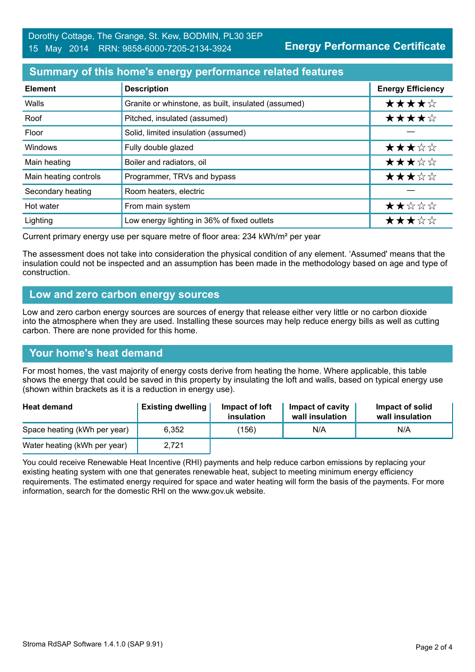## **Summary of this home's energy performance related features**

| <b>Element</b>        | <b>Description</b>                                  | <b>Energy Efficiency</b> |
|-----------------------|-----------------------------------------------------|--------------------------|
| Walls                 | Granite or whinstone, as built, insulated (assumed) | ★★★★☆                    |
| Roof                  | Pitched, insulated (assumed)                        | ★★★★☆                    |
| Floor                 | Solid, limited insulation (assumed)                 |                          |
| Windows               | Fully double glazed                                 | ★★★☆☆                    |
| Main heating          | Boiler and radiators, oil                           | ★★★☆☆                    |
| Main heating controls | Programmer, TRVs and bypass                         | ★★★☆☆                    |
| Secondary heating     | Room heaters, electric                              |                          |
| Hot water             | From main system                                    | ★★☆☆☆                    |
| Lighting              | Low energy lighting in 36% of fixed outlets         | ★★★☆☆                    |

Current primary energy use per square metre of floor area: 234 kWh/m² per year

The assessment does not take into consideration the physical condition of any element. 'Assumed' means that the insulation could not be inspected and an assumption has been made in the methodology based on age and type of construction.

#### **Low and zero carbon energy sources**

Low and zero carbon energy sources are sources of energy that release either very little or no carbon dioxide into the atmosphere when they are used. Installing these sources may help reduce energy bills as well as cutting carbon. There are none provided for this home.

#### **Your home's heat demand**

For most homes, the vast majority of energy costs derive from heating the home. Where applicable, this table shows the energy that could be saved in this property by insulating the loft and walls, based on typical energy use (shown within brackets as it is a reduction in energy use).

| <b>Heat demand</b>           | <b>Existing dwelling</b> | Impact of loft<br>insulation | <b>Impact of cavity</b><br>wall insulation | Impact of solid<br>wall insulation |
|------------------------------|--------------------------|------------------------------|--------------------------------------------|------------------------------------|
| Space heating (kWh per year) | 6.352                    | (156)                        | N/A                                        | N/A                                |
| Water heating (kWh per year) | 2,721                    |                              |                                            |                                    |

You could receive Renewable Heat Incentive (RHI) payments and help reduce carbon emissions by replacing your existing heating system with one that generates renewable heat, subject to meeting minimum energy efficiency requirements. The estimated energy required for space and water heating will form the basis of the payments. For more information, search for the domestic RHI on the www.gov.uk website.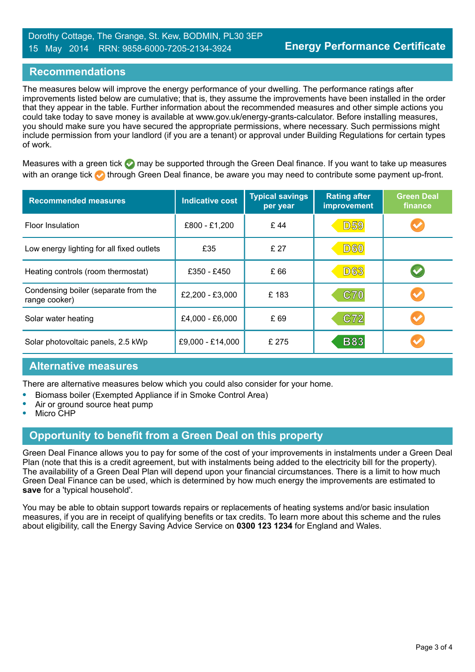### **Recommendations**

The measures below will improve the energy performance of your dwelling. The performance ratings after improvements listed below are cumulative; that is, they assume the improvements have been installed in the order that they appear in the table. Further information about the recommended measures and other simple actions you could take today to save money is available at www.gov.uk/energy-grants-calculator. Before installing measures, you should make sure you have secured the appropriate permissions, where necessary. Such permissions might include permission from your landlord (if you are a tenant) or approval under Building Regulations for certain types of work.

Measures with a green tick  $\bullet$  may be supported through the Green Deal finance. If you want to take up measures with an orange tick **th** through Green Deal finance, be aware you may need to contribute some payment up-front.

| <b>Recommended measures</b>                           | <b>Indicative cost</b> | <b>Typical savings</b><br>per year | <b>Rating after</b><br>improvement | <b>Green Deal</b><br>finance |
|-------------------------------------------------------|------------------------|------------------------------------|------------------------------------|------------------------------|
| <b>Floor Insulation</b>                               | £800 - £1,200          | £44                                | <b>D59</b>                         |                              |
| Low energy lighting for all fixed outlets             | £35                    | £ 27                               | <b>D60</b>                         |                              |
| Heating controls (room thermostat)                    | £350 - £450            | £66                                | <b>D63</b>                         |                              |
| Condensing boiler (separate from the<br>range cooker) | £2,200 - £3,000        | £183                               | <b>C70</b>                         |                              |
| Solar water heating                                   | £4,000 - £6,000        | £69                                | C72                                | $\blacktriangledown$         |
| Solar photovoltaic panels, 2.5 kWp                    | £9,000 - £14,000       | £ 275                              | <b>B83</b>                         |                              |

# **Alternative measures**

There are alternative measures below which you could also consider for your home.

- **•** Biomass boiler (Exempted Appliance if in Smoke Control Area)
- **•** Air or ground source heat pump
- **•** Micro CHP

# **Opportunity to benefit from a Green Deal on this property**

Green Deal Finance allows you to pay for some of the cost of your improvements in instalments under a Green Deal Plan (note that this is a credit agreement, but with instalments being added to the electricity bill for the property). The availability of a Green Deal Plan will depend upon your financial circumstances. There is a limit to how much Green Deal Finance can be used, which is determined by how much energy the improvements are estimated to **save** for a 'typical household'.

You may be able to obtain support towards repairs or replacements of heating systems and/or basic insulation measures, if you are in receipt of qualifying benefits or tax credits. To learn more about this scheme and the rules about eligibility, call the Energy Saving Advice Service on **0300 123 1234** for England and Wales.